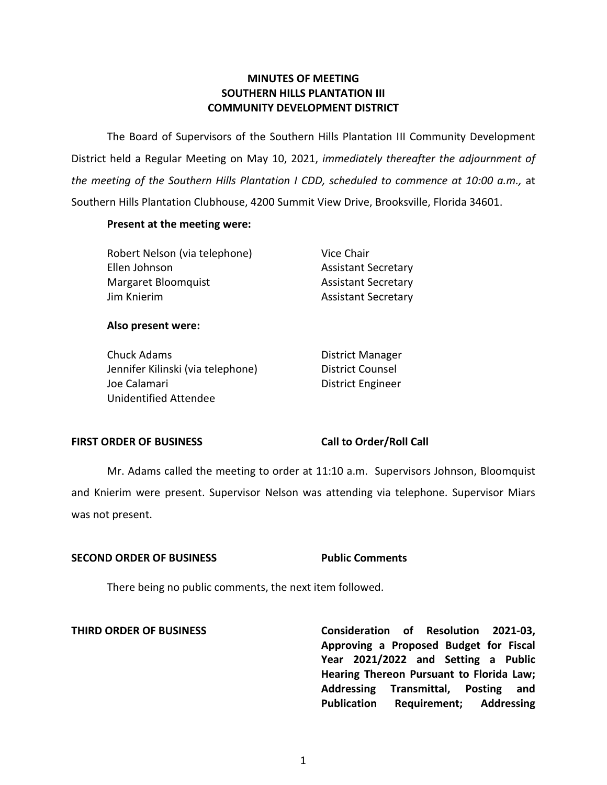# **MINUTES OF MEETING SOUTHERN HILLS PLANTATION III COMMUNITY DEVELOPMENT DISTRICT**

 The Board of Supervisors of the Southern Hills Plantation III Community Development District held a Regular Meeting on May 10, 2021, *immediately thereafter the adjournment of the meeting of the Southern Hills Plantation I CDD, scheduled to commence at 10:00 a.m.,* at Southern Hills Plantation Clubhouse, 4200 Summit View Drive, Brooksville, Florida 34601.

## **Present at the meeting were:**

| Robert Nelson (via telephone) | Vice Chair                 |
|-------------------------------|----------------------------|
| Ellen Johnson                 | <b>Assistant Secretary</b> |
| Margaret Bloomquist           | <b>Assistant Secretary</b> |
| Jim Knierim                   | <b>Assistant Secretary</b> |

## **Also present were:**

Chuck Adams **District Manager** Jennifer Kilinski (via telephone) District Counsel Joe Calamari **District Engineer** Unidentified Attendee

# FIRST ORDER OF BUSINESS Call to Order/Roll Call

 Mr. Adams called the meeting to order at 11:10 a.m. Supervisors Johnson, Bloomquist and Knierim were present. Supervisor Nelson was attending via telephone. Supervisor Miars was not present.

## **SECOND ORDER OF BUSINESS Public Comments**

There being no public comments, the next item followed.

 **THIRD ORDER OF BUSINESS Consideration of Resolution 2021-03, Approving a Proposed Budget for Fiscal Year 2021/2022 and Setting a Public Hearing Thereon Pursuant to Florida Law; Addressing Transmittal, Posting and Publication Requirement; Addressing**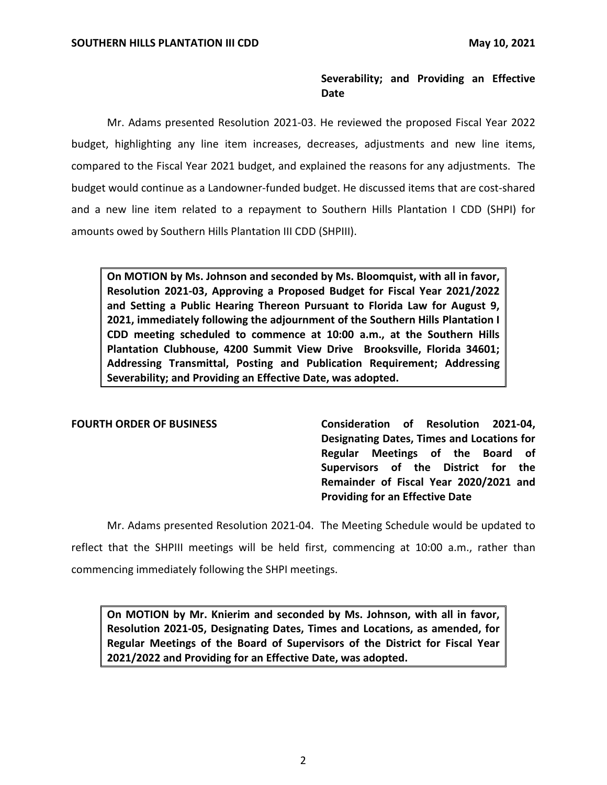# **Severability; and Providing an Effective Date**

 Mr. Adams presented Resolution 2021-03. He reviewed the proposed Fiscal Year 2022 compared to the Fiscal Year 2021 budget, and explained the reasons for any adjustments. The budget, highlighting any line item increases, decreases, adjustments and new line items, budget would continue as a Landowner-funded budget. He discussed items that are cost-shared and a new line item related to a repayment to Southern Hills Plantation I CDD (SHPI) for amounts owed by Southern Hills Plantation III CDD (SHPIII).

 **On MOTION by Ms. Johnson and seconded by Ms. Bloomquist, with all in favor, 2021, immediately following the adjournment of the Southern Hills Plantation I CDD meeting scheduled to commence at 10:00 a.m., at the Southern Hills Plantation Clubhouse, 4200 Summit View Drive Brooksville, Florida 34601; Resolution 2021-03, Approving a Proposed Budget for Fiscal Year 2021/2022 and Setting a Public Hearing Thereon Pursuant to Florida Law for August 9, Addressing Transmittal, Posting and Publication Requirement; Addressing Severability; and Providing an Effective Date, was adopted.** 

FOURTH ORDER OF BUSINESS **Consideration of Resolution 2021-04**, **Designating Dates, Times and Locations for Regular Meetings of the Board of Supervisors of the District for the Remainder of Fiscal Year 2020/2021 and Providing for an Effective Date** 

 Mr. Adams presented Resolution 2021-04. The Meeting Schedule would be updated to reflect that the SHPIII meetings will be held first, commencing at 10:00 a.m., rather than commencing immediately following the SHPI meetings.

 **On MOTION by Mr. Knierim and seconded by Ms. Johnson, with all in favor, Resolution 2021-05, Designating Dates, Times and Locations, as amended, for Regular Meetings of the Board of Supervisors of the District for Fiscal Year 2021/2022 and Providing for an Effective Date, was adopted.**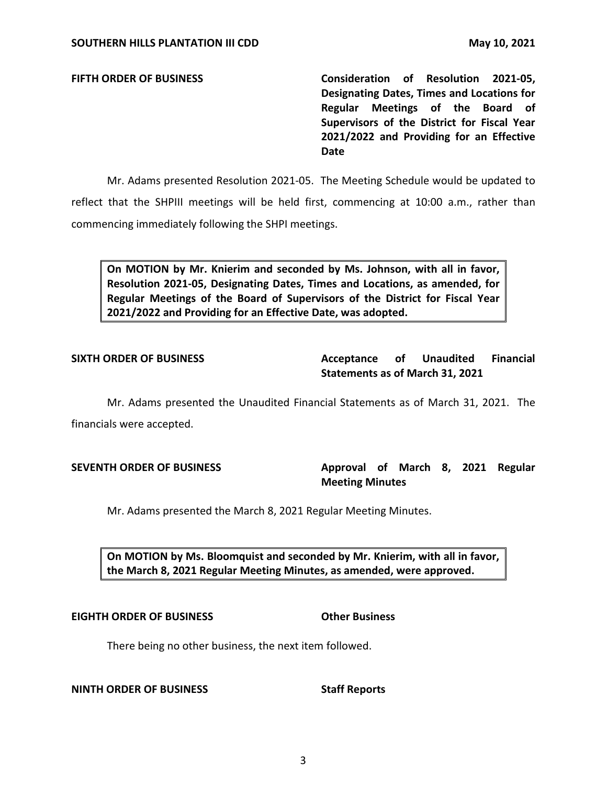**FIFTH ORDER OF BUSINESS Consideration of Resolution 2021-05, Designating Dates, Times and Locations for Regular Meetings of the Board of Supervisors of the District for Fiscal Year 2021/2022 and Providing for an Effective Date** 

 Mr. Adams presented Resolution 2021-05. The Meeting Schedule would be updated to reflect that the SHPIII meetings will be held first, commencing at 10:00 a.m., rather than commencing immediately following the SHPI meetings.

 **On MOTION by Mr. Knierim and seconded by Ms. Johnson, with all in favor, Resolution 2021-05, Designating Dates, Times and Locations, as amended, for Regular Meetings of the Board of Supervisors of the District for Fiscal Year 2021/2022 and Providing for an Effective Date, was adopted.** 

## **Unaudited Statements as of March 31, 2021**  SIXTH ORDER OF BUSINESS **Acceptance** of Unaudited Financial

 Mr. Adams presented the Unaudited Financial Statements as of March 31, 2021. The financials were accepted.

# SEVENTH ORDER OF BUSINESS **Approval of March 8, 2021 Regular Meeting Minutes**

Mr. Adams presented the March 8, 2021 Regular Meeting Minutes.

 **On MOTION by Ms. Bloomquist and seconded by Mr. Knierim, with all in favor, the March 8, 2021 Regular Meeting Minutes, as amended, were approved.** 

## **EIGHTH ORDER OF BUSINESS Other Business**

# There being no other business, the next item followed.

## **NINTH ORDER OF BUSINESS STATES STAFF Reports**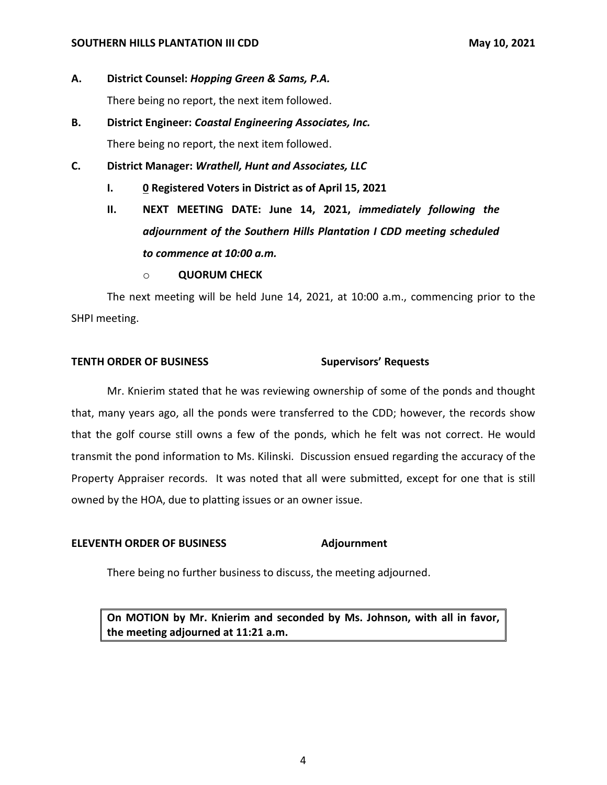## **SOUTHERN HILLS PLANTATION III CDD** May 10, 2021

- **A. District Counsel:** *Hopping Green & Sams, P.A.*  There being no report, the next item followed.
- There being no report, the next item followed. **B. District Engineer:** *Coastal Engineering Associates, Inc.*
- **C. District Manager:** *Wrathell, Hunt and Associates, LLC* 
	- **I. 0 Registered Voters in District as of April 15, 2021**
	- **II. NEXT MEETING DATE: June 14, 2021,** *immediately following the adjournment of the Southern Hills Plantation I CDD meeting scheduled to commence at 10:00 a.m.* 
		- o **QUORUM CHECK**

The next meeting will be held June 14, 2021, at 10:00 a.m., commencing prior to the SHPI meeting.

## **TENTH ORDER OF BUSINESS Supervisors' Requests**

Mr. Knierim stated that he was reviewing ownership of some of the ponds and thought that, many years ago, all the ponds were transferred to the CDD; however, the records show that the golf course still owns a few of the ponds, which he felt was not correct. He would transmit the pond information to Ms. Kilinski. Discussion ensued regarding the accuracy of the Property Appraiser records. It was noted that all were submitted, except for one that is still owned by the HOA, due to platting issues or an owner issue.

## **ELEVENTH ORDER OF BUSINESS Adjournment**

There being no further business to discuss, the meeting adjourned.

 **On MOTION by Mr. Knierim and seconded by Ms. Johnson, with all in favor, the meeting adjourned at 11:21 a.m.**